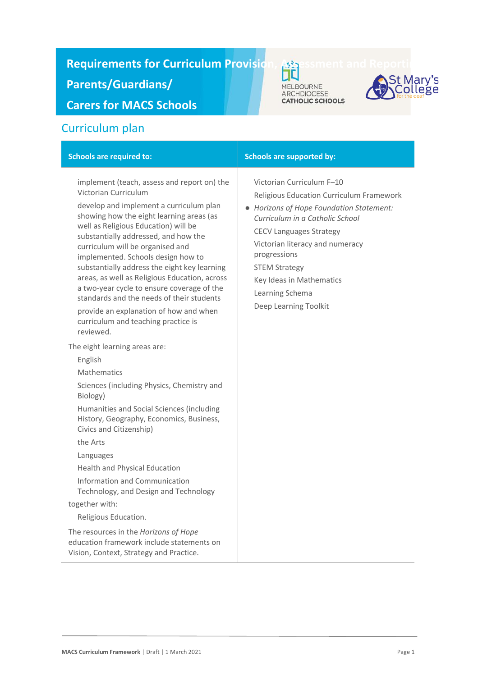# **Requirements for Curriculum Provision, Assessment and Reporting to Assessment Article**

**Parents/Guardians/** 

**Carers for MACS Schools**

# Curriculum plan

| implement (teach, assess and report on) the<br>Victorian Curriculum<br>develop and implement a curriculum plan<br>showing how the eight learning areas (as<br>well as Religious Education) will be<br>substantially addressed, and how the<br>curriculum will be organised and<br>implemented. Schools design how to<br>substantially address the eight key learning<br>areas, as well as Religious Education, across<br>a two-year cycle to ensure coverage of the<br>standards and the needs of their students<br>provide an explanation of how and when<br>curriculum and teaching practice is<br>reviewed.<br>The eight learning areas are:<br>English<br>Mathematics<br>Sciences (including Physics, Chemistry and<br>Biology)<br>Humanities and Social Sciences (including<br>History, Geography, Economics, Business,<br>Civics and Citizenship)<br>the Arts<br>Languages<br><b>Health and Physical Education</b><br>Information and Communication<br>Technology, and Design and Technology<br>together with:<br>Religious Education.<br>The resources in the Horizons of Hope<br>education framework include statements on<br>Vision, Context, Strategy and Practice. | Victorian Curriculum F-10<br>Religious Education Curriculum Framework<br>• Horizons of Hope Foundation Statement:<br>Curriculum in a Catholic School<br><b>CECV Languages Strategy</b><br>Victorian literacy and numeracy<br>progressions<br><b>STEM Strategy</b><br>Key Ideas in Mathematics<br>Learning Schema<br>Deep Learning Toolkit |
|-------------------------------------------------------------------------------------------------------------------------------------------------------------------------------------------------------------------------------------------------------------------------------------------------------------------------------------------------------------------------------------------------------------------------------------------------------------------------------------------------------------------------------------------------------------------------------------------------------------------------------------------------------------------------------------------------------------------------------------------------------------------------------------------------------------------------------------------------------------------------------------------------------------------------------------------------------------------------------------------------------------------------------------------------------------------------------------------------------------------------------------------------------------------------------|-------------------------------------------------------------------------------------------------------------------------------------------------------------------------------------------------------------------------------------------------------------------------------------------------------------------------------------------|

**MACS Curriculum Framework | Draft | 1 March 2021 <b>Page 1** Page 1

**St Mary's<br>Scollege** 

MELBOURNE<br>ARCHDIOCESE<br>CATHOLIC SCHOOLS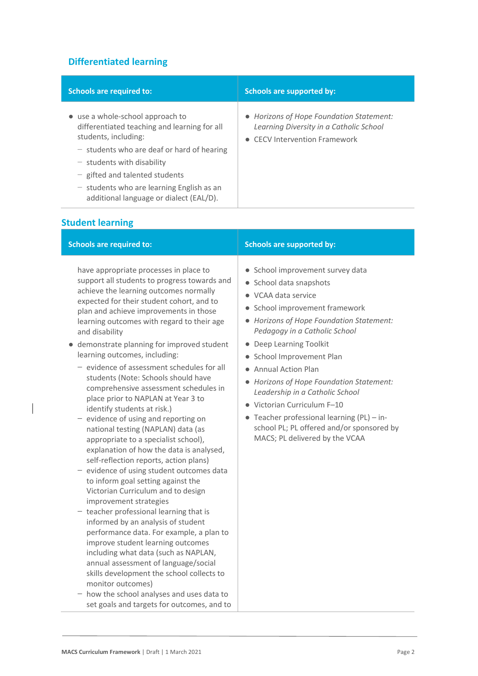# **Differentiated learning**

| <b>Schools are required to:</b>                                                                                                                                                                                                                                                                                        | <b>Schools are supported by:</b>                                                                                                       |
|------------------------------------------------------------------------------------------------------------------------------------------------------------------------------------------------------------------------------------------------------------------------------------------------------------------------|----------------------------------------------------------------------------------------------------------------------------------------|
| • use a whole-school approach to<br>differentiated teaching and learning for all<br>students, including:<br>$-$ students who are deaf or hard of hearing<br>$-$ students with disability<br>$-$ gifted and talented students<br>$-$ students who are learning English as an<br>additional language or dialect (EAL/D). | • Horizons of Hope Foundation Statement:<br>Learning Diversity in a Catholic School<br><b>CECV</b> Intervention Framework<br>$\bullet$ |

# **Student learning**

 $\overline{\phantom{a}}$ 

| <b>Schools are required to:</b>                                                                                                                                                                                                                                                                                                                                                                                                                                                                                                                                                                                                                                                                                                                                                                                                                                                                                                                                                                                                                                                                                                                                                                                                                                                                                                                         | <b>Schools are supported by:</b>                                                                                                                                                                                                                                                                                                                                                                                                                                                                                                              |
|---------------------------------------------------------------------------------------------------------------------------------------------------------------------------------------------------------------------------------------------------------------------------------------------------------------------------------------------------------------------------------------------------------------------------------------------------------------------------------------------------------------------------------------------------------------------------------------------------------------------------------------------------------------------------------------------------------------------------------------------------------------------------------------------------------------------------------------------------------------------------------------------------------------------------------------------------------------------------------------------------------------------------------------------------------------------------------------------------------------------------------------------------------------------------------------------------------------------------------------------------------------------------------------------------------------------------------------------------------|-----------------------------------------------------------------------------------------------------------------------------------------------------------------------------------------------------------------------------------------------------------------------------------------------------------------------------------------------------------------------------------------------------------------------------------------------------------------------------------------------------------------------------------------------|
| have appropriate processes in place to<br>support all students to progress towards and<br>achieve the learning outcomes normally<br>expected for their student cohort, and to<br>plan and achieve improvements in those<br>learning outcomes with regard to their age<br>and disability<br>demonstrate planning for improved student<br>learning outcomes, including:<br>- evidence of assessment schedules for all<br>students (Note: Schools should have<br>comprehensive assessment schedules in<br>place prior to NAPLAN at Year 3 to<br>identify students at risk.)<br>- evidence of using and reporting on<br>national testing (NAPLAN) data (as<br>appropriate to a specialist school),<br>explanation of how the data is analysed,<br>self-reflection reports, action plans)<br>- evidence of using student outcomes data<br>to inform goal setting against the<br>Victorian Curriculum and to design<br>improvement strategies<br>- teacher professional learning that is<br>informed by an analysis of student<br>performance data. For example, a plan to<br>improve student learning outcomes<br>including what data (such as NAPLAN,<br>annual assessment of language/social<br>skills development the school collects to<br>monitor outcomes)<br>- how the school analyses and uses data to<br>set goals and targets for outcomes, and to | School improvement survey data<br>$\bullet$<br>School data snapshots<br>VCAA data service<br>School improvement framework<br>• Horizons of Hope Foundation Statement:<br>Pedagogy in a Catholic School<br>Deep Learning Toolkit<br>$\bullet$<br>• School Improvement Plan<br><b>Annual Action Plan</b><br>Horizons of Hope Foundation Statement:<br>Leadership in a Catholic School<br>Victorian Curriculum F-10<br>• Teacher professional learning (PL) - in-<br>school PL; PL offered and/or sponsored by<br>MACS; PL delivered by the VCAA |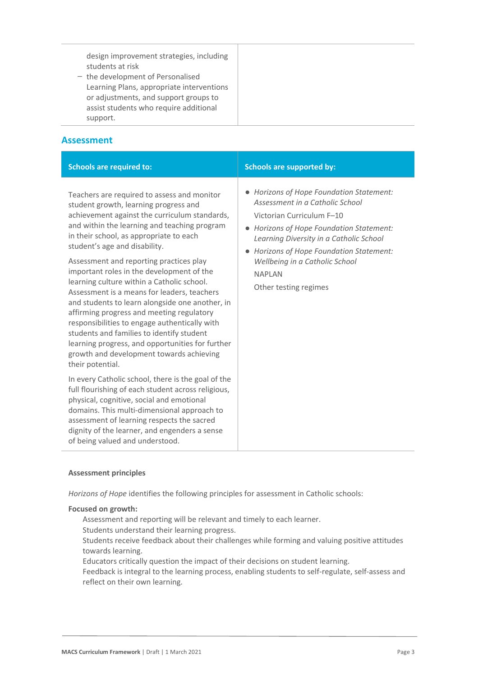design improvement strategies, including students at risk

− the development of Personalised Learning Plans, appropriate interventions or adjustments, and support groups to assist students who require additional support.

### **Assessment**

| <b>Schools are required to:</b>                                                                                                                                                                                                                                                                                                                                                                                                                                                                                                                                                                                                                                                                                                                                          | <b>Schools are supported by:</b>                                                                                                                                                                                                                                                                                                   |
|--------------------------------------------------------------------------------------------------------------------------------------------------------------------------------------------------------------------------------------------------------------------------------------------------------------------------------------------------------------------------------------------------------------------------------------------------------------------------------------------------------------------------------------------------------------------------------------------------------------------------------------------------------------------------------------------------------------------------------------------------------------------------|------------------------------------------------------------------------------------------------------------------------------------------------------------------------------------------------------------------------------------------------------------------------------------------------------------------------------------|
| Teachers are required to assess and monitor<br>student growth, learning progress and<br>achievement against the curriculum standards,<br>and within the learning and teaching program<br>in their school, as appropriate to each<br>student's age and disability.<br>Assessment and reporting practices play<br>important roles in the development of the<br>learning culture within a Catholic school.<br>Assessment is a means for leaders, teachers<br>and students to learn alongside one another, in<br>affirming progress and meeting regulatory<br>responsibilities to engage authentically with<br>students and families to identify student<br>learning progress, and opportunities for further<br>growth and development towards achieving<br>their potential. | • Horizons of Hope Foundation Statement:<br>Assessment in a Catholic School<br>Victorian Curriculum F-10<br>• Horizons of Hope Foundation Statement:<br>Learning Diversity in a Catholic School<br>Horizons of Hope Foundation Statement:<br>$\bullet$<br>Wellbeing in a Catholic School<br><b>NAPIAN</b><br>Other testing regimes |
| In every Catholic school, there is the goal of the<br>full flourishing of each student across religious,<br>physical, cognitive, social and emotional<br>domains. This multi-dimensional approach to<br>assessment of learning respects the sacred<br>dignity of the learner, and engenders a sense<br>of being valued and understood.                                                                                                                                                                                                                                                                                                                                                                                                                                   |                                                                                                                                                                                                                                                                                                                                    |

#### **Assessment principles**

*Horizons of Hope* identifies the following principles for assessment in Catholic schools:

#### **Focused on growth:**

Assessment and reporting will be relevant and timely to each learner.

Students understand their learning progress.

Students receive feedback about their challenges while forming and valuing positive attitudes towards learning.

Educators critically question the impact of their decisions on student learning.

Feedback is integral to the learning process, enabling students to self-regulate, self-assess and reflect on their own learning.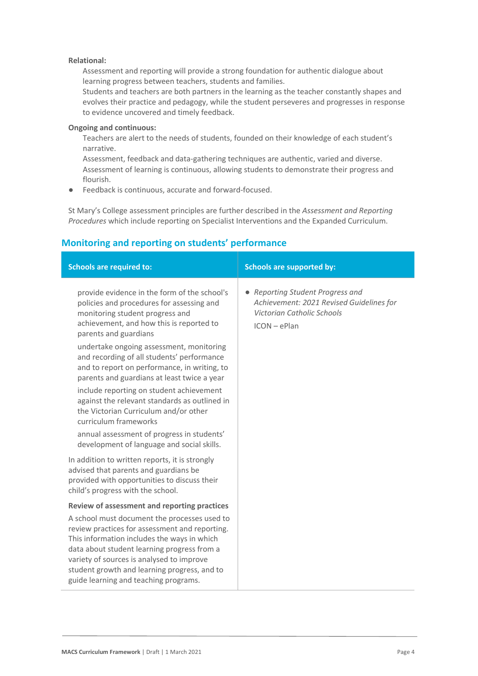#### **Relational:**

Assessment and reporting will provide a strong foundation for authentic dialogue about learning progress between teachers, students and families.

Students and teachers are both partners in the learning as the teacher constantly shapes and evolves their practice and pedagogy, while the student perseveres and progresses in response to evidence uncovered and timely feedback.

#### **Ongoing and continuous:**

Teachers are alert to the needs of students, founded on their knowledge of each student's narrative.

Assessment, feedback and data-gathering techniques are authentic, varied and diverse. Assessment of learning is continuous, allowing students to demonstrate their progress and flourish.

● Feedback is continuous, accurate and forward-focused.

St Mary's College assessment principles are further described in the *Assessment and Reporting Procedures* which include reporting on Specialist Interventions and the Expanded Curriculum.

## **Monitoring and reporting on students' performance**

| <b>Schools are required to:</b>                                                                                                                                                                                                                                                                                                    | <b>Schools are supported by:</b>                                                                                           |
|------------------------------------------------------------------------------------------------------------------------------------------------------------------------------------------------------------------------------------------------------------------------------------------------------------------------------------|----------------------------------------------------------------------------------------------------------------------------|
| provide evidence in the form of the school's<br>policies and procedures for assessing and<br>monitoring student progress and<br>achievement, and how this is reported to<br>parents and guardians                                                                                                                                  | • Reporting Student Progress and<br>Achievement: 2021 Revised Guidelines for<br>Victorian Catholic Schools<br>ICON - ePlan |
| undertake ongoing assessment, monitoring<br>and recording of all students' performance<br>and to report on performance, in writing, to<br>parents and guardians at least twice a year                                                                                                                                              |                                                                                                                            |
| include reporting on student achievement<br>against the relevant standards as outlined in<br>the Victorian Curriculum and/or other<br>curriculum frameworks                                                                                                                                                                        |                                                                                                                            |
| annual assessment of progress in students'<br>development of language and social skills.                                                                                                                                                                                                                                           |                                                                                                                            |
| In addition to written reports, it is strongly<br>advised that parents and guardians be<br>provided with opportunities to discuss their<br>child's progress with the school.                                                                                                                                                       |                                                                                                                            |
| Review of assessment and reporting practices                                                                                                                                                                                                                                                                                       |                                                                                                                            |
| A school must document the processes used to<br>review practices for assessment and reporting.<br>This information includes the ways in which<br>data about student learning progress from a<br>variety of sources is analysed to improve<br>student growth and learning progress, and to<br>guide learning and teaching programs. |                                                                                                                            |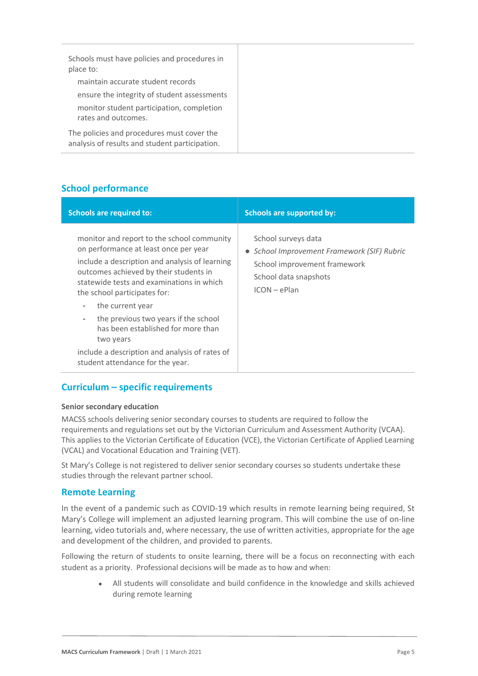| Schools must have policies and procedures in<br>place to:                                    |
|----------------------------------------------------------------------------------------------|
| maintain accurate student records                                                            |
| ensure the integrity of student assessments                                                  |
| monitor student participation, completion<br>rates and outcomes.                             |
| The policies and procedures must cover the<br>analysis of results and student participation. |

# **School performance**

| <b>Schools are required to:</b>                                                                                                                                                                                                                                                                                                                                                                                                                                             | <b>Schools are supported by:</b>                                                                                                            |
|-----------------------------------------------------------------------------------------------------------------------------------------------------------------------------------------------------------------------------------------------------------------------------------------------------------------------------------------------------------------------------------------------------------------------------------------------------------------------------|---------------------------------------------------------------------------------------------------------------------------------------------|
| monitor and report to the school community<br>on performance at least once per year<br>include a description and analysis of learning<br>outcomes achieved by their students in<br>statewide tests and examinations in which<br>the school participates for:<br>the current year<br>-<br>the previous two years if the school<br>-<br>has been established for more than<br>two years<br>include a description and analysis of rates of<br>student attendance for the year. | School surveys data<br>• School Improvement Framework (SIF) Rubric<br>School improvement framework<br>School data snapshots<br>$ICON-ePlan$ |

## **Curriculum – specific requirements**

#### **Senior secondary education**

MACSS schools delivering senior secondary courses to students are required to follow the requirements and regulations set out by the Victorian Curriculum and Assessment Authority (VCAA). This applies to the Victorian Certificate of Education (VCE), the Victorian Certificate of Applied Learning (VCAL) and Vocational Education and Training (VET).

St Mary's College is not registered to deliver senior secondary courses so students undertake these studies through the relevant partner school.

## **Remote Learning**

In the event of a pandemic such as COVID-19 which results in remote learning being required, St Mary's College will implement an adjusted learning program. This will combine the use of on-line learning, video tutorials and, where necessary, the use of written activities, appropriate for the age and development of the children, and provided to parents.

Following the return of students to onsite learning, there will be a focus on reconnecting with each student as a priority. Professional decisions will be made as to how and when:

> All students will consolidate and build confidence in the knowledge and skills achieved during remote learning